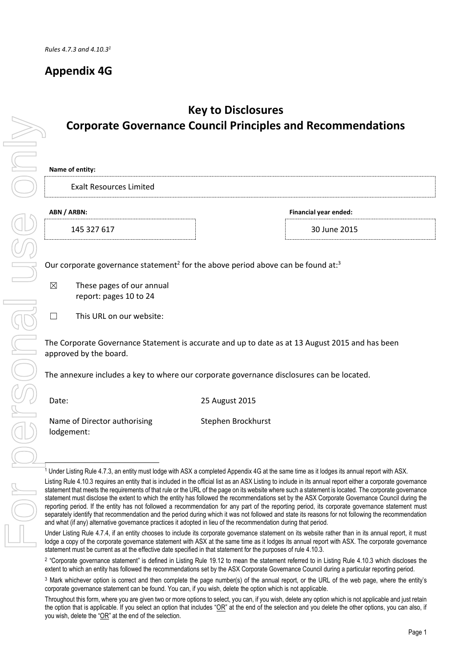### **Appendix 4G**

# **Name of entity:** Exalt Resources Limited **ABN / ARBN: Financial year ended:** approved by the board. Date: 25 August 2015 Name of Director authorising lodgement: .<br>T Corporate Governance<br>
Exalt Resources Limited<br>
ABN/ARBN:<br>
ABN/ARBN:<br>
145 327 617<br>
Our corporate governance statement<br>
These pages of our annual<br>
report: pages 10 to 24<br>
This URL on our website:<br>
The Corporate Governance St

## **Key to Disclosures Corporate Governance Council Principles and Recommendations**

145 327 617 30 June 2015

Our corporate governance statement<sup>2</sup> for the above period above can be found at:<sup>3</sup>

 $\boxtimes$  These pages of our annual report: pages 10 to 24

☐ This URL on our website:

The Corporate Governance Statement is accurate and up to date as at 13 August 2015 and has been

The annexure includes a key to where our corporate governance disclosures can be located.

Stephen Brockhurst

 $^\text{1}$  Under Listing Rule 4.7.3, an entity must lodge with ASX a completed Appendix 4G at the same time as it lodges its annual report with ASX.

Listing Rule 4.10.3 requires an entity that is included in the official list as an ASX Listing to include in its annual report either a corporate governance statement that meets the requirements of that rule or the URL of the page on its website where such a statement is located. The corporate governance statement must disclose the extent to which the entity has followed the recommendations set by the ASX Corporate Governance Council during the reporting period. If the entity has not followed a recommendation for any part of the reporting period, its corporate governance statement must separately identify that recommendation and the period during which it was not followed and state its reasons for not following the recommendation and what (if any) alternative governance practices it adopted in lieu of the recommendation during that period.

Under Listing Rule 4.7.4, if an entity chooses to include its corporate governance statement on its website rather than in its annual report, it must lodge a copy of the corporate governance statement with ASX at the same time as it lodges its annual report with ASX. The corporate governance statement must be current as at the effective date specified in that statement for the purposes of rule 4.10.3.

<sup>&</sup>lt;sup>2</sup> "Corporate governance statement" is defined in Listing Rule 19.12 to mean the statement referred to in Listing Rule 4.10.3 which discloses the extent to which an entity has followed the recommendations set by the ASX Corporate Governance Council during a particular reporting period.

<sup>3</sup> Mark whichever option is correct and then complete the page number(s) of the annual report, or the URL of the web page, where the entity's corporate governance statement can be found. You can, if you wish, delete the option which is not applicable.

Throughout this form, where you are given two or more options to select, you can, if you wish, delete any option which is not applicable and just retain the option that is applicable. If you select an option that includes "OR" at the end of the selection and you delete the other options, you can also, if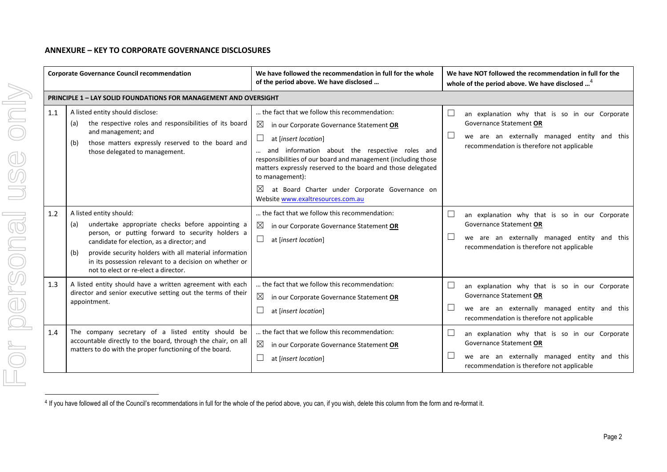#### **ANNEXURE – KEY TO CORPORATE GOVERNANCE DISCLOSURES**

|     | <b>Corporate Governance Council recommendation</b>                                                                                                                                                                                                                                                                                                      | We have followed the recommendation in full for the whole<br>of the period above. We have disclosed                                                                                                                                                                                                                                                                                                                                     |              | We have NOT followed the recommendation in full for the<br>whole of the period above. We have disclosed <sup>4</sup>                                                    |
|-----|---------------------------------------------------------------------------------------------------------------------------------------------------------------------------------------------------------------------------------------------------------------------------------------------------------------------------------------------------------|-----------------------------------------------------------------------------------------------------------------------------------------------------------------------------------------------------------------------------------------------------------------------------------------------------------------------------------------------------------------------------------------------------------------------------------------|--------------|-------------------------------------------------------------------------------------------------------------------------------------------------------------------------|
|     | <b>PRINCIPLE 1 - LAY SOLID FOUNDATIONS FOR MANAGEMENT AND OVERSIGHT</b>                                                                                                                                                                                                                                                                                 |                                                                                                                                                                                                                                                                                                                                                                                                                                         |              |                                                                                                                                                                         |
| 1.1 | A listed entity should disclose:<br>the respective roles and responsibilities of its board<br>(a)<br>and management; and<br>those matters expressly reserved to the board and<br>(b)<br>those delegated to management.                                                                                                                                  | the fact that we follow this recommendation:<br>$\boxtimes$<br>in our Corporate Governance Statement OR<br>at [insert location]<br>and information about the respective roles and<br>responsibilities of our board and management (including those<br>matters expressly reserved to the board and those delegated<br>to management):<br>$\times$<br>at Board Charter under Corporate Governance on<br>Website www.exaltresources.com.au | $\Box$       | an explanation why that is so in our Corporate<br>Governance Statement OR<br>we are an externally managed entity and this<br>recommendation is therefore not applicable |
| 1.2 | A listed entity should:<br>undertake appropriate checks before appointing a<br>(a)<br>person, or putting forward to security holders a<br>candidate for election, as a director; and<br>provide security holders with all material information<br>(b)<br>in its possession relevant to a decision on whether or<br>not to elect or re-elect a director. | the fact that we follow this recommendation:<br>$\boxtimes$<br>in our Corporate Governance Statement OR<br>⊔<br>at [insert location]                                                                                                                                                                                                                                                                                                    |              | an explanation why that is so in our Corporate<br>Governance Statement OR<br>we are an externally managed entity and this<br>recommendation is therefore not applicable |
| 1.3 | A listed entity should have a written agreement with each<br>director and senior executive setting out the terms of their<br>appointment.                                                                                                                                                                                                               | the fact that we follow this recommendation:<br>$\boxtimes$<br>in our Corporate Governance Statement OR<br>at [insert location]                                                                                                                                                                                                                                                                                                         | $\mathbf{L}$ | an explanation why that is so in our Corporate<br>Governance Statement OR<br>we are an externally managed entity and this<br>recommendation is therefore not applicable |
| 1.4 | The company secretary of a listed entity should be<br>accountable directly to the board, through the chair, on all<br>matters to do with the proper functioning of the board.                                                                                                                                                                           | the fact that we follow this recommendation:<br>$\boxtimes$<br>in our Corporate Governance Statement OR<br>ш<br>at [insert location]                                                                                                                                                                                                                                                                                                    | $\Box$       | an explanation why that is so in our Corporate<br>Governance Statement OR<br>we are an externally managed entity and this<br>recommendation is therefore not applicable |

<sup>&</sup>lt;sup>4</sup> If you have followed all of the Council's recommendations in full for the whole of the period above, you can, if you wish, delete this column from the form and re-format it.

-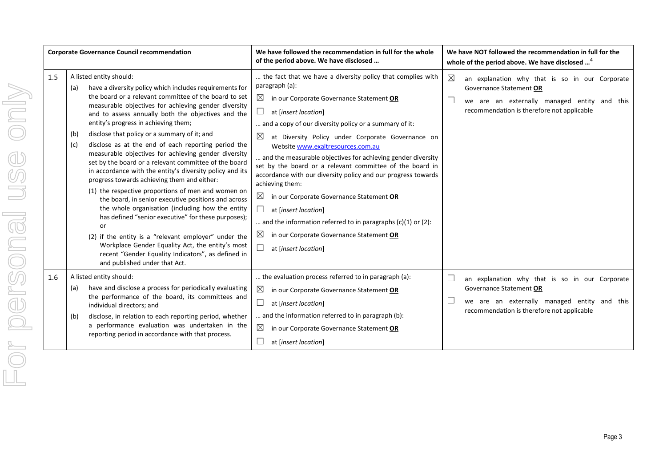| <b>Corporate Governance Council recommendation</b> |                                                                                                                                                                                                                                                                                                                                                                                                                                                                                                                                                                                                                                                                                                                                                                                                                                                                                                                                                                                                                                                                                            | We have followed the recommendation in full for the whole<br>of the period above. We have disclosed                                                                                                                                                                                                                                                                                                                                                                                                                                                                                                                                                                                                                                                                                     | We have NOT followed the recommendation in full for the<br>whole of the period above. We have disclosed <sup>4</sup>                                                                   |
|----------------------------------------------------|--------------------------------------------------------------------------------------------------------------------------------------------------------------------------------------------------------------------------------------------------------------------------------------------------------------------------------------------------------------------------------------------------------------------------------------------------------------------------------------------------------------------------------------------------------------------------------------------------------------------------------------------------------------------------------------------------------------------------------------------------------------------------------------------------------------------------------------------------------------------------------------------------------------------------------------------------------------------------------------------------------------------------------------------------------------------------------------------|-----------------------------------------------------------------------------------------------------------------------------------------------------------------------------------------------------------------------------------------------------------------------------------------------------------------------------------------------------------------------------------------------------------------------------------------------------------------------------------------------------------------------------------------------------------------------------------------------------------------------------------------------------------------------------------------------------------------------------------------------------------------------------------------|----------------------------------------------------------------------------------------------------------------------------------------------------------------------------------------|
| 1.5                                                | A listed entity should:<br>have a diversity policy which includes requirements for<br>(a)<br>the board or a relevant committee of the board to set<br>measurable objectives for achieving gender diversity<br>and to assess annually both the objectives and the<br>entity's progress in achieving them;<br>disclose that policy or a summary of it; and<br>(b)<br>disclose as at the end of each reporting period the<br>(c)<br>measurable objectives for achieving gender diversity<br>set by the board or a relevant committee of the board<br>in accordance with the entity's diversity policy and its<br>progress towards achieving them and either:<br>(1) the respective proportions of men and women on<br>the board, in senior executive positions and across<br>the whole organisation (including how the entity<br>has defined "senior executive" for these purposes);<br>or<br>(2) if the entity is a "relevant employer" under the<br>Workplace Gender Equality Act, the entity's most<br>recent "Gender Equality Indicators", as defined in<br>and published under that Act. | the fact that we have a diversity policy that complies with<br>paragraph (a):<br>$\bowtie$<br>in our Corporate Governance Statement OR<br>⊔<br>at [insert location]<br>and a copy of our diversity policy or a summary of it:<br>$\boxtimes$<br>at Diversity Policy under Corporate Governance on<br>Website www.exaltresources.com.au<br>and the measurable objectives for achieving gender diversity<br>set by the board or a relevant committee of the board in<br>accordance with our diversity policy and our progress towards<br>achieving them:<br>$\boxtimes$<br>in our Corporate Governance Statement OR<br>at [insert location]<br>and the information referred to in paragraphs $(c)(1)$ or $(2)$ :<br>⊠<br>in our Corporate Governance Statement OR<br>at [insert location] | $\boxtimes$<br>an explanation why that is so in our Corporate<br>Governance Statement OR<br>we are an externally managed entity and this<br>recommendation is therefore not applicable |
| 1.6                                                | A listed entity should:<br>have and disclose a process for periodically evaluating<br>(a)<br>the performance of the board, its committees and<br>individual directors; and<br>disclose, in relation to each reporting period, whether<br>(b)<br>a performance evaluation was undertaken in the<br>reporting period in accordance with that process.                                                                                                                                                                                                                                                                                                                                                                                                                                                                                                                                                                                                                                                                                                                                        | the evaluation process referred to in paragraph (a):<br>$\boxtimes$<br>in our Corporate Governance Statement OR<br>$\Box$<br>at [insert location]<br>and the information referred to in paragraph (b):<br>⊠<br>in our Corporate Governance Statement OR<br>at [insert location]                                                                                                                                                                                                                                                                                                                                                                                                                                                                                                         | an explanation why that is so in our Corporate<br>Governance Statement OR<br>we are an externally managed entity and this<br>recommendation is therefore not applicable                |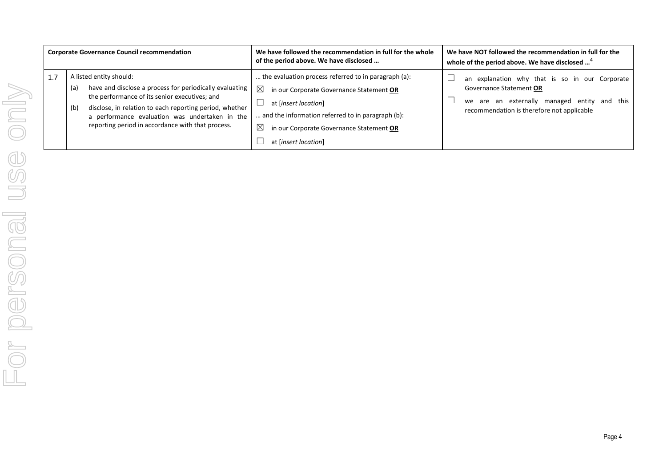| <b>Corporate Governance Council recommendation</b> |                                                                                                                                                                                                                                                                                                                     | We have followed the recommendation in full for the whole<br>of the period above. We have disclosed                                                                                                                                                                          | We have NOT followed the recommendation in full for the<br>whole of the period above. We have disclosed <sup>4</sup>                                                    |
|----------------------------------------------------|---------------------------------------------------------------------------------------------------------------------------------------------------------------------------------------------------------------------------------------------------------------------------------------------------------------------|------------------------------------------------------------------------------------------------------------------------------------------------------------------------------------------------------------------------------------------------------------------------------|-------------------------------------------------------------------------------------------------------------------------------------------------------------------------|
| 1.7                                                | A listed entity should:<br>have and disclose a process for periodically evaluating<br>(a)<br>the performance of its senior executives; and<br>disclose, in relation to each reporting period, whether<br>(b)<br>a performance evaluation was undertaken in the<br>reporting period in accordance with that process. | the evaluation process referred to in paragraph (a):<br>$\boxtimes$<br>in our Corporate Governance Statement OR<br>at [insert location]<br>and the information referred to in paragraph (b):<br>$\times$<br>in our Corporate Governance Statement OR<br>at [insert location] | an explanation why that is so in our Corporate<br>Governance Statement OR<br>we are an externally managed entity and this<br>recommendation is therefore not applicable |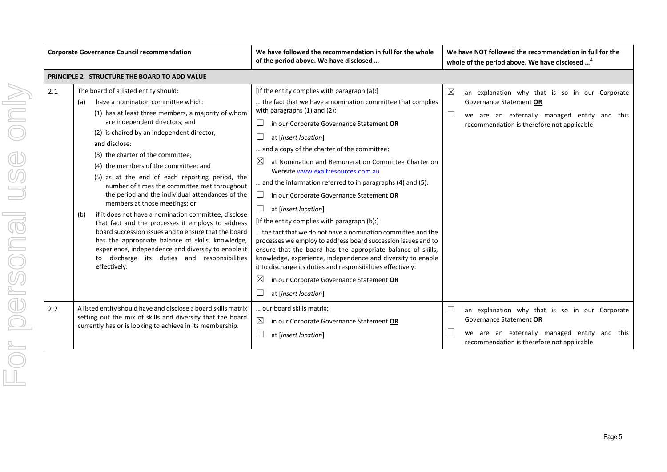|     | <b>Corporate Governance Council recommendation</b>                                                                                                                                                                                                                                                                                                                                                                                                                                                                                                                                                                                                                                                                                                                                                                                                                     | We have followed the recommendation in full for the whole<br>of the period above. We have disclosed                                                                                                                                                                                                                                                                                                                                                                                                                                                                                                                                                                                                                                                                                                                                                                                                                                                                     | We have NOT followed the recommendation in full for the<br>whole of the period above. We have disclosed <sup>4</sup>                                                                                     |
|-----|------------------------------------------------------------------------------------------------------------------------------------------------------------------------------------------------------------------------------------------------------------------------------------------------------------------------------------------------------------------------------------------------------------------------------------------------------------------------------------------------------------------------------------------------------------------------------------------------------------------------------------------------------------------------------------------------------------------------------------------------------------------------------------------------------------------------------------------------------------------------|-------------------------------------------------------------------------------------------------------------------------------------------------------------------------------------------------------------------------------------------------------------------------------------------------------------------------------------------------------------------------------------------------------------------------------------------------------------------------------------------------------------------------------------------------------------------------------------------------------------------------------------------------------------------------------------------------------------------------------------------------------------------------------------------------------------------------------------------------------------------------------------------------------------------------------------------------------------------------|----------------------------------------------------------------------------------------------------------------------------------------------------------------------------------------------------------|
|     | <b>PRINCIPLE 2 - STRUCTURE THE BOARD TO ADD VALUE</b>                                                                                                                                                                                                                                                                                                                                                                                                                                                                                                                                                                                                                                                                                                                                                                                                                  |                                                                                                                                                                                                                                                                                                                                                                                                                                                                                                                                                                                                                                                                                                                                                                                                                                                                                                                                                                         |                                                                                                                                                                                                          |
| 2.1 | The board of a listed entity should:<br>have a nomination committee which:<br>(a)<br>(1) has at least three members, a majority of whom<br>are independent directors; and<br>(2) is chaired by an independent director,<br>and disclose:<br>(3) the charter of the committee;<br>(4) the members of the committee; and<br>(5) as at the end of each reporting period, the<br>number of times the committee met throughout<br>the period and the individual attendances of the<br>members at those meetings; or<br>if it does not have a nomination committee, disclose<br>(b)<br>that fact and the processes it employs to address<br>board succession issues and to ensure that the board<br>has the appropriate balance of skills, knowledge,<br>experience, independence and diversity to enable it<br>to discharge its duties and responsibilities<br>effectively. | [If the entity complies with paragraph (a):]<br>the fact that we have a nomination committee that complies<br>with paragraphs $(1)$ and $(2)$ :<br>in our Corporate Governance Statement OR<br>at [insert location]<br>and a copy of the charter of the committee:<br>⊠<br>at Nomination and Remuneration Committee Charter on<br>Website www.exaltresources.com.au<br>and the information referred to in paragraphs (4) and (5):<br>in our Corporate Governance Statement OR<br>at [insert location]<br>[If the entity complies with paragraph (b):]<br>the fact that we do not have a nomination committee and the<br>processes we employ to address board succession issues and to<br>ensure that the board has the appropriate balance of skills,<br>knowledge, experience, independence and diversity to enable<br>it to discharge its duties and responsibilities effectively:<br>$\boxtimes$<br>in our Corporate Governance Statement OR<br>at [insert location] | $\boxtimes$<br>an explanation why that is so in our Corporate<br>Governance Statement OR<br>$\Box$<br>we are an externally managed entity and this<br>recommendation is therefore not applicable         |
| 2.2 | A listed entity should have and disclose a board skills matrix<br>setting out the mix of skills and diversity that the board<br>currently has or is looking to achieve in its membership.                                                                                                                                                                                                                                                                                                                                                                                                                                                                                                                                                                                                                                                                              | our board skills matrix:<br>⊠<br>in our Corporate Governance Statement OR<br>at [insert location]                                                                                                                                                                                                                                                                                                                                                                                                                                                                                                                                                                                                                                                                                                                                                                                                                                                                       | $\overline{\phantom{a}}$<br>an explanation why that is so in our Corporate<br>Governance Statement OR<br>we are an externally managed entity and this<br>L<br>recommendation is therefore not applicable |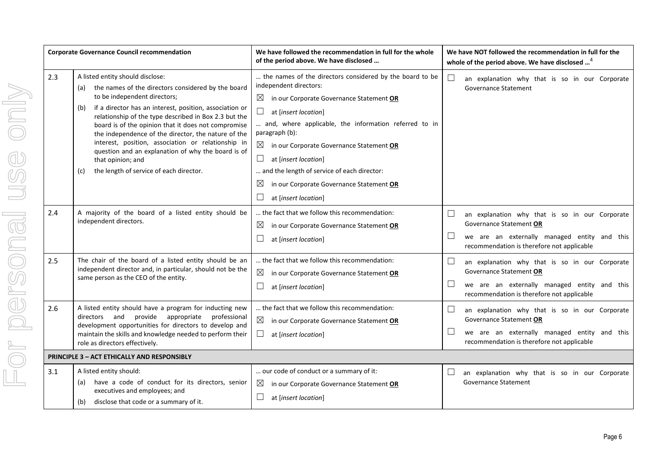|     | <b>Corporate Governance Council recommendation</b>                                                                                                                                                                                                                                                                                                                                                                                                                                                                                                        | We have followed the recommendation in full for the whole<br>of the period above. We have disclosed                                                                                                                                                                                                                                                                                                                                                                                    |                      | We have NOT followed the recommendation in full for the<br>whole of the period above. We have disclosed <sup>4</sup>                                                    |  |
|-----|-----------------------------------------------------------------------------------------------------------------------------------------------------------------------------------------------------------------------------------------------------------------------------------------------------------------------------------------------------------------------------------------------------------------------------------------------------------------------------------------------------------------------------------------------------------|----------------------------------------------------------------------------------------------------------------------------------------------------------------------------------------------------------------------------------------------------------------------------------------------------------------------------------------------------------------------------------------------------------------------------------------------------------------------------------------|----------------------|-------------------------------------------------------------------------------------------------------------------------------------------------------------------------|--|
| 2.3 | A listed entity should disclose:<br>the names of the directors considered by the board<br>(a)<br>to be independent directors;<br>if a director has an interest, position, association or<br>(b)<br>relationship of the type described in Box 2.3 but the<br>board is of the opinion that it does not compromise<br>the independence of the director, the nature of the<br>interest, position, association or relationship in<br>question and an explanation of why the board is of<br>that opinion; and<br>the length of service of each director.<br>(c) | the names of the directors considered by the board to be<br>independent directors:<br>$\boxtimes$<br>in our Corporate Governance Statement OR<br>$\Box$<br>at [insert location]<br>and, where applicable, the information referred to in<br>paragraph (b):<br>$\boxtimes$ in our Corporate Governance Statement OR<br>$\Box$<br>at [insert location]<br>and the length of service of each director:<br>$\boxtimes$<br>in our Corporate Governance Statement OR<br>at [insert location] | $\Box$               | an explanation why that is so in our Corporate<br><b>Governance Statement</b>                                                                                           |  |
| 2.4 | A majority of the board of a listed entity should be<br>independent directors.                                                                                                                                                                                                                                                                                                                                                                                                                                                                            | the fact that we follow this recommendation:<br>in our Corporate Governance Statement OR<br>$\boxtimes$<br>at [insert location]                                                                                                                                                                                                                                                                                                                                                        | $\sqcup$<br>$\Box$   | an explanation why that is so in our Corporate<br>Governance Statement OR<br>we are an externally managed entity and this<br>recommendation is therefore not applicable |  |
| 2.5 | The chair of the board of a listed entity should be an<br>independent director and, in particular, should not be the<br>same person as the CEO of the entity.                                                                                                                                                                                                                                                                                                                                                                                             | the fact that we follow this recommendation:<br>$\boxtimes$<br>in our Corporate Governance Statement OR<br>ப<br>at [insert location]                                                                                                                                                                                                                                                                                                                                                   | $\sqcup$<br>$\sqcup$ | an explanation why that is so in our Corporate<br>Governance Statement OR<br>we are an externally managed entity and this<br>recommendation is therefore not applicable |  |
| 2.6 | A listed entity should have a program for inducting new<br>directors and provide appropriate<br>professional<br>development opportunities for directors to develop and<br>maintain the skills and knowledge needed to perform their<br>role as directors effectively.                                                                                                                                                                                                                                                                                     | the fact that we follow this recommendation:<br>$\boxtimes$<br>in our Corporate Governance Statement OR<br>$\Box$<br>at [insert location]                                                                                                                                                                                                                                                                                                                                              | ⊔<br>$\Box$          | an explanation why that is so in our Corporate<br>Governance Statement OR<br>we are an externally managed entity and this<br>recommendation is therefore not applicable |  |
|     | <b>PRINCIPLE 3 - ACT ETHICALLY AND RESPONSIBLY</b>                                                                                                                                                                                                                                                                                                                                                                                                                                                                                                        |                                                                                                                                                                                                                                                                                                                                                                                                                                                                                        |                      |                                                                                                                                                                         |  |
| 3.1 | A listed entity should:<br>have a code of conduct for its directors, senior<br>(a)<br>executives and employees; and<br>disclose that code or a summary of it.<br>(b)                                                                                                                                                                                                                                                                                                                                                                                      | our code of conduct or a summary of it:<br>$\boxtimes$ in our Corporate Governance Statement OR<br>at [insert location]                                                                                                                                                                                                                                                                                                                                                                | $\Box$               | an explanation why that is so in our Corporate<br><b>Governance Statement</b>                                                                                           |  |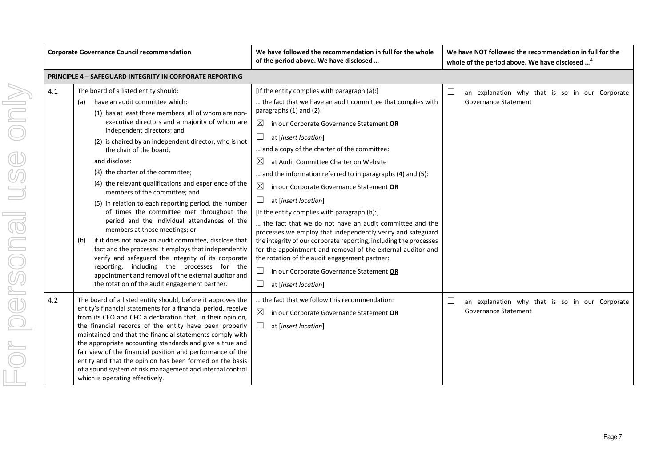|     | <b>Corporate Governance Council recommendation</b>                                                                                                                                                                                                                                                                                                                                                                                                                                                                                                                                                                                                                                                                                                                                                                                                                                                                                                                                   | We have followed the recommendation in full for the whole<br>of the period above. We have disclosed                                                                                                                                                                                                                                                                                                                                                                                                                                                                                                                                                                                                                                                                                                                                                                                                                                                          | We have NOT followed the recommendation in full for the<br>whole of the period above. We have disclosed <sup>4</sup> |
|-----|--------------------------------------------------------------------------------------------------------------------------------------------------------------------------------------------------------------------------------------------------------------------------------------------------------------------------------------------------------------------------------------------------------------------------------------------------------------------------------------------------------------------------------------------------------------------------------------------------------------------------------------------------------------------------------------------------------------------------------------------------------------------------------------------------------------------------------------------------------------------------------------------------------------------------------------------------------------------------------------|--------------------------------------------------------------------------------------------------------------------------------------------------------------------------------------------------------------------------------------------------------------------------------------------------------------------------------------------------------------------------------------------------------------------------------------------------------------------------------------------------------------------------------------------------------------------------------------------------------------------------------------------------------------------------------------------------------------------------------------------------------------------------------------------------------------------------------------------------------------------------------------------------------------------------------------------------------------|----------------------------------------------------------------------------------------------------------------------|
|     | <b>PRINCIPLE 4 - SAFEGUARD INTEGRITY IN CORPORATE REPORTING</b>                                                                                                                                                                                                                                                                                                                                                                                                                                                                                                                                                                                                                                                                                                                                                                                                                                                                                                                      |                                                                                                                                                                                                                                                                                                                                                                                                                                                                                                                                                                                                                                                                                                                                                                                                                                                                                                                                                              |                                                                                                                      |
| 4.1 | The board of a listed entity should:<br>have an audit committee which:<br>(a)<br>(1) has at least three members, all of whom are non-<br>executive directors and a majority of whom are<br>independent directors; and<br>(2) is chaired by an independent director, who is not<br>the chair of the board.<br>and disclose:<br>(3) the charter of the committee;<br>(4) the relevant qualifications and experience of the<br>members of the committee: and<br>(5) in relation to each reporting period, the number<br>of times the committee met throughout the<br>period and the individual attendances of the<br>members at those meetings; or<br>if it does not have an audit committee, disclose that<br>(b)<br>fact and the processes it employs that independently<br>verify and safeguard the integrity of its corporate<br>reporting, including the processes for the<br>appointment and removal of the external auditor and<br>the rotation of the audit engagement partner. | [If the entity complies with paragraph (a):]<br>the fact that we have an audit committee that complies with<br>paragraphs (1) and (2):<br>$\boxtimes$<br>in our Corporate Governance Statement OR<br>$\Box$<br>at [insert location]<br>and a copy of the charter of the committee:<br>$\boxtimes$<br>at Audit Committee Charter on Website<br>and the information referred to in paragraphs (4) and (5):<br>$\boxtimes$<br>in our Corporate Governance Statement OR<br>$\Box$<br>at [insert location]<br>[If the entity complies with paragraph (b):]<br>the fact that we do not have an audit committee and the<br>processes we employ that independently verify and safeguard<br>the integrity of our corporate reporting, including the processes<br>for the appointment and removal of the external auditor and<br>the rotation of the audit engagement partner:<br>$\Box$<br>in our Corporate Governance Statement OR<br>$\Box$<br>at [insert location] | $\Box$<br>an explanation why that is so in our Corporate<br><b>Governance Statement</b>                              |
| 4.2 | The board of a listed entity should, before it approves the<br>entity's financial statements for a financial period, receive<br>from its CEO and CFO a declaration that, in their opinion,<br>the financial records of the entity have been properly<br>maintained and that the financial statements comply with<br>the appropriate accounting standards and give a true and<br>fair view of the financial position and performance of the<br>entity and that the opinion has been formed on the basis<br>of a sound system of risk management and internal control<br>which is operating effectively.                                                                                                                                                                                                                                                                                                                                                                               | the fact that we follow this recommendation:<br>$\boxtimes$<br>in our Corporate Governance Statement OR<br>$\Box$<br>at [insert location]                                                                                                                                                                                                                                                                                                                                                                                                                                                                                                                                                                                                                                                                                                                                                                                                                    | $\Box$<br>an explanation why that is so in our Corporate<br>Governance Statement                                     |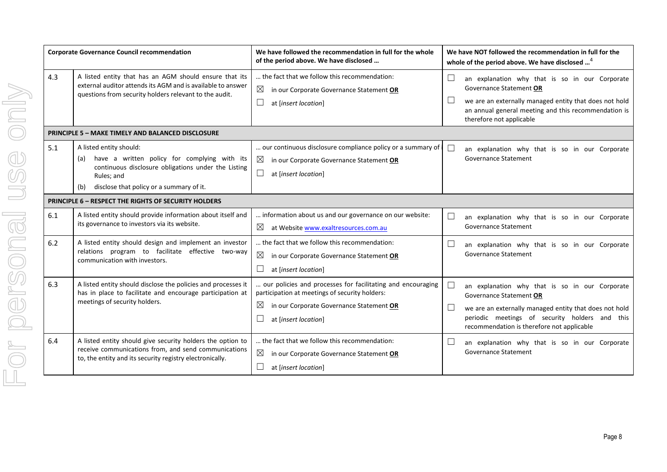|     | <b>Corporate Governance Council recommendation</b>                                                                                                                                                     | We have followed the recommendation in full for the whole<br>of the period above. We have disclosed                                                                                              |                  | We have NOT followed the recommendation in full for the<br>whole of the period above. We have disclosed <sup>4</sup>                                                                                                                |
|-----|--------------------------------------------------------------------------------------------------------------------------------------------------------------------------------------------------------|--------------------------------------------------------------------------------------------------------------------------------------------------------------------------------------------------|------------------|-------------------------------------------------------------------------------------------------------------------------------------------------------------------------------------------------------------------------------------|
| 4.3 | A listed entity that has an AGM should ensure that its<br>external auditor attends its AGM and is available to answer<br>questions from security holders relevant to the audit.                        | the fact that we follow this recommendation:<br>$\boxtimes$<br>in our Corporate Governance Statement OR<br>ப<br>at [insert location]                                                             | $\Box$           | an explanation why that is so in our Corporate<br>Governance Statement OR<br>we are an externally managed entity that does not hold<br>an annual general meeting and this recommendation is<br>therefore not applicable             |
|     | <b>PRINCIPLE 5 - MAKE TIMELY AND BALANCED DISCLOSURE</b>                                                                                                                                               |                                                                                                                                                                                                  |                  |                                                                                                                                                                                                                                     |
| 5.1 | A listed entity should:<br>have a written policy for complying with its<br>(a)<br>continuous disclosure obligations under the Listing<br>Rules; and<br>disclose that policy or a summary of it.<br>(b) | our continuous disclosure compliance policy or a summary of i<br>$\times$<br>in our Corporate Governance Statement OR<br>$\Box$<br>at [insert location]                                          | $\Box$           | an explanation why that is so in our Corporate<br><b>Governance Statement</b>                                                                                                                                                       |
|     | <b>PRINCIPLE 6 - RESPECT THE RIGHTS OF SECURITY HOLDERS</b>                                                                                                                                            |                                                                                                                                                                                                  |                  |                                                                                                                                                                                                                                     |
| 6.1 | A listed entity should provide information about itself and<br>its governance to investors via its website.                                                                                            | information about us and our governance on our website:<br>$\boxtimes$<br>at Website www.exaltresources.com.au                                                                                   | $\Box$           | an explanation why that is so in our Corporate<br><b>Governance Statement</b>                                                                                                                                                       |
| 6.2 | A listed entity should design and implement an investor<br>relations program to facilitate effective two-way<br>communication with investors.                                                          | the fact that we follow this recommendation:<br>$\boxtimes$<br>in our Corporate Governance Statement OR<br>at [insert location]                                                                  | ப                | an explanation why that is so in our Corporate<br>Governance Statement                                                                                                                                                              |
| 6.3 | A listed entity should disclose the policies and processes it<br>has in place to facilitate and encourage participation at<br>meetings of security holders.                                            | our policies and processes for facilitating and encouraging<br>participation at meetings of security holders:<br>$\boxtimes$<br>in our Corporate Governance Statement OR<br>at [insert location] | $\Box$<br>$\Box$ | an explanation why that is so in our Corporate<br>Governance Statement OR<br>we are an externally managed entity that does not hold<br>periodic meetings of security holders and this<br>recommendation is therefore not applicable |
| 6.4 | A listed entity should give security holders the option to<br>receive communications from, and send communications<br>to, the entity and its security registry electronically.                         | the fact that we follow this recommendation:<br>$\boxtimes$<br>in our Corporate Governance Statement OR<br>at [insert location]                                                                  |                  | an explanation why that is so in our Corporate<br><b>Governance Statement</b>                                                                                                                                                       |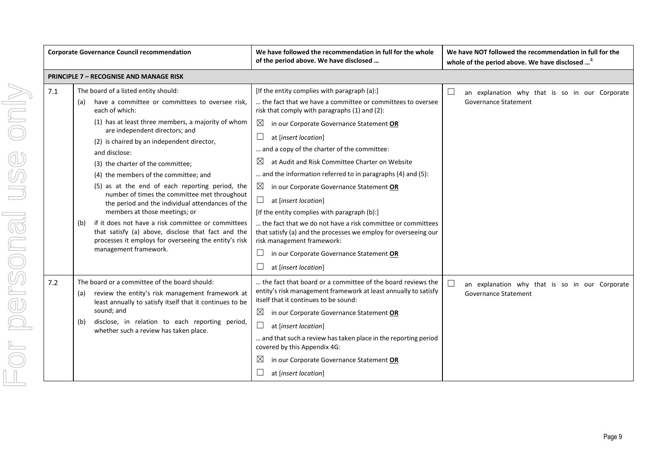|  |     | <b>Corporate Governance Council recommendation</b>                                                                                                                                                | We have followed the recommendation in full for the whole<br>of the period above. We have disclosed                                                          | We have NOT followed the recommendation in full for the<br>whole of the period above. We have disclosed <sup>4</sup> |
|--|-----|---------------------------------------------------------------------------------------------------------------------------------------------------------------------------------------------------|--------------------------------------------------------------------------------------------------------------------------------------------------------------|----------------------------------------------------------------------------------------------------------------------|
|  |     | <b>PRINCIPLE 7 - RECOGNISE AND MANAGE RISK</b>                                                                                                                                                    |                                                                                                                                                              |                                                                                                                      |
|  | 7.1 | The board of a listed entity should:                                                                                                                                                              | [If the entity complies with paragraph (a):]                                                                                                                 | $\Box$<br>an explanation why that is so in our Corporate                                                             |
|  |     | have a committee or committees to oversee risk,<br>(a)<br>each of which:                                                                                                                          | the fact that we have a committee or committees to oversee<br>risk that comply with paragraphs (1) and (2):                                                  | <b>Governance Statement</b>                                                                                          |
|  |     | (1) has at least three members, a majority of whom<br>are independent directors; and                                                                                                              | $\boxtimes$<br>in our Corporate Governance Statement OR                                                                                                      |                                                                                                                      |
|  |     | (2) is chaired by an independent director,                                                                                                                                                        | ⊔<br>at [insert location]                                                                                                                                    |                                                                                                                      |
|  |     | and disclose:                                                                                                                                                                                     | and a copy of the charter of the committee:                                                                                                                  |                                                                                                                      |
|  |     | (3) the charter of the committee;                                                                                                                                                                 | $\boxtimes$<br>at Audit and Risk Committee Charter on Website                                                                                                |                                                                                                                      |
|  |     | (4) the members of the committee; and                                                                                                                                                             | and the information referred to in paragraphs (4) and (5):                                                                                                   |                                                                                                                      |
|  |     | (5) as at the end of each reporting period, the                                                                                                                                                   | $\boxtimes$<br>in our Corporate Governance Statement OR                                                                                                      |                                                                                                                      |
|  |     | number of times the committee met throughout<br>the period and the individual attendances of the                                                                                                  | $\Box$<br>at [insert location]                                                                                                                               |                                                                                                                      |
|  |     | members at those meetings; or                                                                                                                                                                     | [If the entity complies with paragraph (b):]                                                                                                                 |                                                                                                                      |
|  |     | if it does not have a risk committee or committees<br>(b)<br>that satisfy (a) above, disclose that fact and the<br>processes it employs for overseeing the entity's risk<br>management framework. | the fact that we do not have a risk committee or committees<br>that satisfy (a) and the processes we employ for overseeing our<br>risk management framework: |                                                                                                                      |
|  |     |                                                                                                                                                                                                   | in our Corporate Governance Statement OR                                                                                                                     |                                                                                                                      |
|  |     |                                                                                                                                                                                                   | at [insert location]                                                                                                                                         |                                                                                                                      |
|  | 7.2 | The board or a committee of the board should:                                                                                                                                                     | the fact that board or a committee of the board reviews the                                                                                                  | $\Box$<br>an explanation why that is so in our Corporate                                                             |
|  |     | review the entity's risk management framework at<br>(a)<br>least annually to satisfy itself that it continues to be                                                                               | entity's risk management framework at least annually to satisfy<br>itself that it continues to be sound:                                                     | <b>Governance Statement</b>                                                                                          |
|  |     | sound; and                                                                                                                                                                                        | $\boxtimes$<br>in our Corporate Governance Statement OR                                                                                                      |                                                                                                                      |
|  |     | disclose, in relation to each reporting period,<br>(b)<br>whether such a review has taken place.                                                                                                  | $\Box$<br>at [insert location]                                                                                                                               |                                                                                                                      |
|  |     |                                                                                                                                                                                                   | and that such a review has taken place in the reporting period<br>covered by this Appendix 4G:                                                               |                                                                                                                      |
|  |     |                                                                                                                                                                                                   | $\boxtimes$<br>in our Corporate Governance Statement OR                                                                                                      |                                                                                                                      |
|  |     |                                                                                                                                                                                                   | at [insert location]                                                                                                                                         |                                                                                                                      |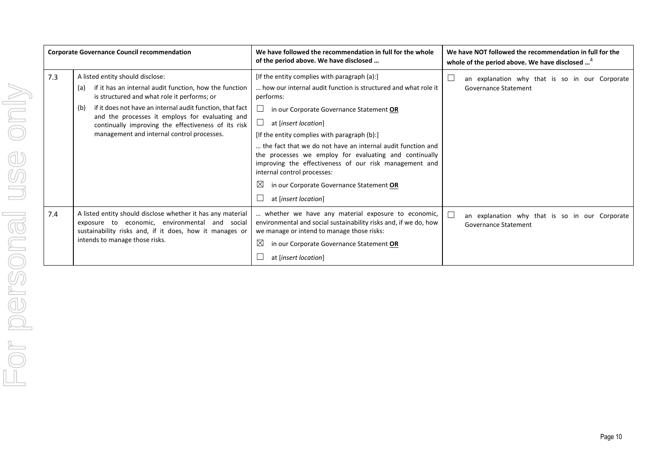| <b>Corporate Governance Council recommendation</b> |                                                                                                                                                                                                                                                                                                                                                                              | We have followed the recommendation in full for the whole<br>of the period above. We have disclosed                                                                                                                                                                                                                                                                                                                                                                                                                                                  | We have NOT followed the recommendation in full for the<br>whole of the period above. We have disclosed <sup>4</sup> |
|----------------------------------------------------|------------------------------------------------------------------------------------------------------------------------------------------------------------------------------------------------------------------------------------------------------------------------------------------------------------------------------------------------------------------------------|------------------------------------------------------------------------------------------------------------------------------------------------------------------------------------------------------------------------------------------------------------------------------------------------------------------------------------------------------------------------------------------------------------------------------------------------------------------------------------------------------------------------------------------------------|----------------------------------------------------------------------------------------------------------------------|
| 7.3                                                | A listed entity should disclose:<br>if it has an internal audit function, how the function<br>(a)<br>is structured and what role it performs; or<br>if it does not have an internal audit function, that fact<br>(b)<br>and the processes it employs for evaluating and<br>continually improving the effectiveness of its risk<br>management and internal control processes. | [If the entity complies with paragraph (a):]<br>how our internal audit function is structured and what role it<br>performs:<br>in our Corporate Governance Statement OR<br>at [insert location]<br>[If the entity complies with paragraph (b):]<br>the fact that we do not have an internal audit function and<br>the processes we employ for evaluating and continually<br>improving the effectiveness of our risk management and<br>internal control processes:<br>$\boxtimes$<br>in our Corporate Governance Statement OR<br>at [insert location] | an explanation why that is so in our Corporate<br>Governance Statement                                               |
| 7.4                                                | A listed entity should disclose whether it has any material<br>exposure to economic, environmental and social<br>sustainability risks and, if it does, how it manages or<br>intends to manage those risks.                                                                                                                                                                   | whether we have any material exposure to economic,<br>environmental and social sustainability risks and, if we do, how<br>we manage or intend to manage those risks:<br>$\boxtimes$<br>in our Corporate Governance Statement OR<br>at [insert location]                                                                                                                                                                                                                                                                                              | an explanation why that is so in our Corporate<br>Governance Statement                                               |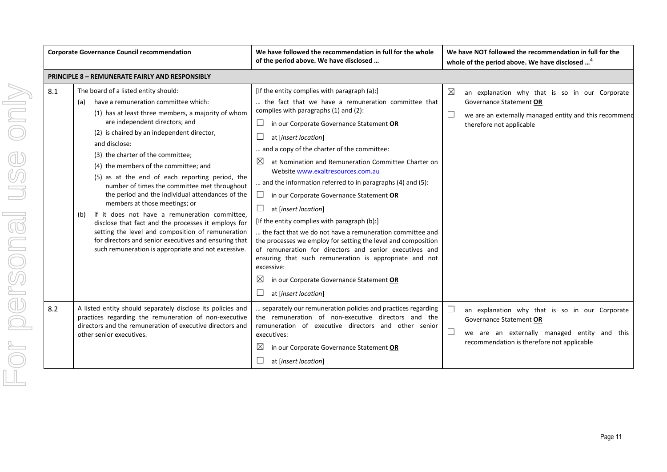|     | <b>Corporate Governance Council recommendation</b>                                                                                                                                                                                                                                                                                                                                                                                                                                                                                                                                                                                                                                                                                                                                                   | We have followed the recommendation in full for the whole<br>of the period above. We have disclosed                                                                                                                                                                                                                                                                                                                                                                                                                                                                                                                                                                                                                                                                                                                                                                                                                                            | We have NOT followed the recommendation in full for the<br>whole of the period above. We have disclosed <sup>4</sup>                                                                     |
|-----|------------------------------------------------------------------------------------------------------------------------------------------------------------------------------------------------------------------------------------------------------------------------------------------------------------------------------------------------------------------------------------------------------------------------------------------------------------------------------------------------------------------------------------------------------------------------------------------------------------------------------------------------------------------------------------------------------------------------------------------------------------------------------------------------------|------------------------------------------------------------------------------------------------------------------------------------------------------------------------------------------------------------------------------------------------------------------------------------------------------------------------------------------------------------------------------------------------------------------------------------------------------------------------------------------------------------------------------------------------------------------------------------------------------------------------------------------------------------------------------------------------------------------------------------------------------------------------------------------------------------------------------------------------------------------------------------------------------------------------------------------------|------------------------------------------------------------------------------------------------------------------------------------------------------------------------------------------|
|     | <b>PRINCIPLE 8 - REMUNERATE FAIRLY AND RESPONSIBLY</b>                                                                                                                                                                                                                                                                                                                                                                                                                                                                                                                                                                                                                                                                                                                                               |                                                                                                                                                                                                                                                                                                                                                                                                                                                                                                                                                                                                                                                                                                                                                                                                                                                                                                                                                |                                                                                                                                                                                          |
| 8.1 | The board of a listed entity should:<br>have a remuneration committee which:<br>(a)<br>(1) has at least three members, a majority of whom<br>are independent directors; and<br>(2) is chaired by an independent director,<br>and disclose:<br>(3) the charter of the committee;<br>(4) the members of the committee; and<br>(5) as at the end of each reporting period, the<br>number of times the committee met throughout<br>the period and the individual attendances of the<br>members at those meetings; or<br>if it does not have a remuneration committee.<br>(b)<br>disclose that fact and the processes it employs for<br>setting the level and composition of remuneration<br>for directors and senior executives and ensuring that<br>such remuneration is appropriate and not excessive. | [If the entity complies with paragraph (a):]<br>the fact that we have a remuneration committee that<br>complies with paragraphs (1) and (2):<br>$\Box$<br>in our Corporate Governance Statement OR<br>ш<br>at [insert location]<br>and a copy of the charter of the committee:<br>$\boxtimes$<br>at Nomination and Remuneration Committee Charter on<br>Website www.exaltresources.com.au<br>and the information referred to in paragraphs (4) and (5):<br>$\Box$<br>in our Corporate Governance Statement OR<br>at [insert location]<br>[If the entity complies with paragraph (b):]<br>the fact that we do not have a remuneration committee and<br>the processes we employ for setting the level and composition<br>of remuneration for directors and senior executives and<br>ensuring that such remuneration is appropriate and not<br>excessive:<br>$\boxtimes$<br>in our Corporate Governance Statement OR<br>at [insert location]<br>⊔ | $\boxtimes$<br>an explanation why that is so in our Corporate<br>Governance Statement OR<br>$\Box$<br>we are an externally managed entity and this recommend<br>therefore not applicable |
| 8.2 | A listed entity should separately disclose its policies and<br>practices regarding the remuneration of non-executive<br>directors and the remuneration of executive directors and<br>other senior executives.                                                                                                                                                                                                                                                                                                                                                                                                                                                                                                                                                                                        | separately our remuneration policies and practices regarding<br>the remuneration of non-executive directors and the<br>remuneration of executive directors and other senior<br>executives:<br>$\boxtimes$<br>in our Corporate Governance Statement OR<br>at [insert location]                                                                                                                                                                                                                                                                                                                                                                                                                                                                                                                                                                                                                                                                  | ⊔<br>an explanation why that is so in our Corporate<br>Governance Statement OR<br>$\Box$<br>we are an externally managed entity and this<br>recommendation is therefore not applicable   |